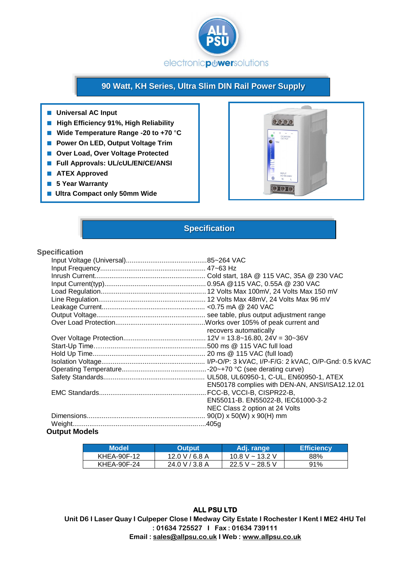

# **90 Watt, KH Series, Ultra Slim DIN Rail Power Supply**

- **Universal AC Input**
- **High Efficiency 91%, High Reliability**
- **Wide Temperature Range -20 to +70** °**C**
- **Power On LED, Output Voltage Trim**
- **Over Load, Over Voltage Protected**
- **Full Approvals: UL/cUL/EN/CE/ANSI**
- **ATEX Approved**
- **5 Year Warranty**
- Ultra Compact only 50mm Wide



### **Specification**

#### **Specification**

|                      | recovers automatically                         |
|----------------------|------------------------------------------------|
|                      |                                                |
|                      |                                                |
|                      |                                                |
|                      |                                                |
|                      |                                                |
|                      |                                                |
|                      | EN50178 complies with DEN-AN, ANSI/ISA12.12.01 |
|                      |                                                |
|                      | EN55011-B. EN55022-B, IEC61000-3-2             |
|                      | NEC Class 2 option at 24 Volts                 |
|                      |                                                |
|                      |                                                |
| <b>Output Models</b> |                                                |

### **Model <b>Output** Adj. range **Efficiency** KHEA-90F-12 | 12.0 V / 6.8 A | 10.8 V ~ 13.2 V | 88% KHEA-90F-24 | 24.0 V / 3.8 A | 22.5 V ~ 28.5 V | 91%

**Unit D6 I Laser Quay I Culpeper Close I Medway City Estate I Rochester I Kent I ME2 4HU Tel : 01634 725527 I Fax : 01634 739111 Email : [sales@allpsu.co.uk](mailto:sales@allpsu.co.uk) I Web : www.allpsu.co.uk**

#### **ALL PSU LTD**